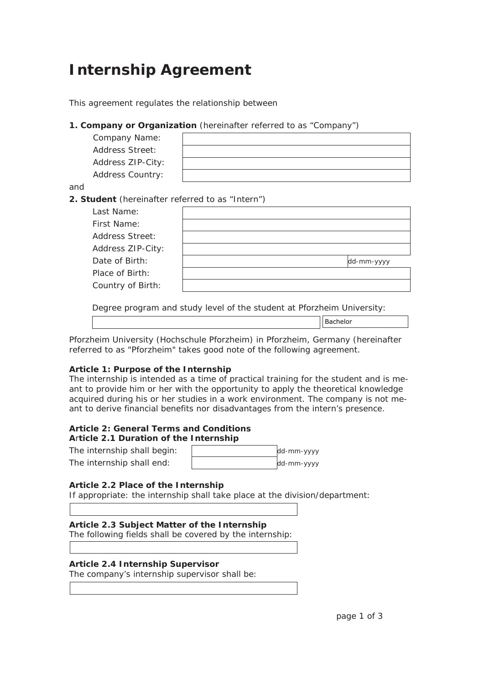# **Internship Agreement**

This agreement regulates the relationship between

# **1. Company or Organization** (hereinafter referred to as "Company")

| Company Name:           |  |
|-------------------------|--|
| <b>Address Street:</b>  |  |
| Address ZIP-City:       |  |
| <b>Address Country:</b> |  |
|                         |  |

and

# **2. Student** (hereinafter referred to as "Intern")

| Last Name:             |            |
|------------------------|------------|
| First Name:            |            |
| <b>Address Street:</b> |            |
| Address ZIP-City:      |            |
| Date of Birth:         | dd-mm-yyyy |
| Place of Birth:        |            |
| Country of Birth:      |            |

Degree program and study level of the student at Pforzheim University:

| Bachelor |  |
|----------|--|
|          |  |

Pforzheim University (Hochschule Pforzheim) in Pforzheim, Germany (hereinafter referred to as "Pforzheim" takes good note of the following agreement.

# **Article 1: Purpose of the Internship**

The internship is intended as a time of practical training for the student and is meant to provide him or her with the opportunity to apply the theoretical knowledge acquired during his or her studies in a work environment. The company is not meant to derive financial benefits nor disadvantages from the intern's presence.

# **Article 2: General Terms and Conditions**

**A**r**ticle 2.1 Duration of the Internship** The internship shall begin:  $dd - m$ The internship shall end:  $dd\text{-}\text{mm-}$  yyyy

# **Article 2.2 Place of the Internship**

If appropriate: the internship shall take place at the division/department:

# **Article 2.3 Subject Matter of the Internship** The following fields shall be covered by the internship:

# **Article 2.4 Internship Supervisor**

The company's internship supervisor shall be: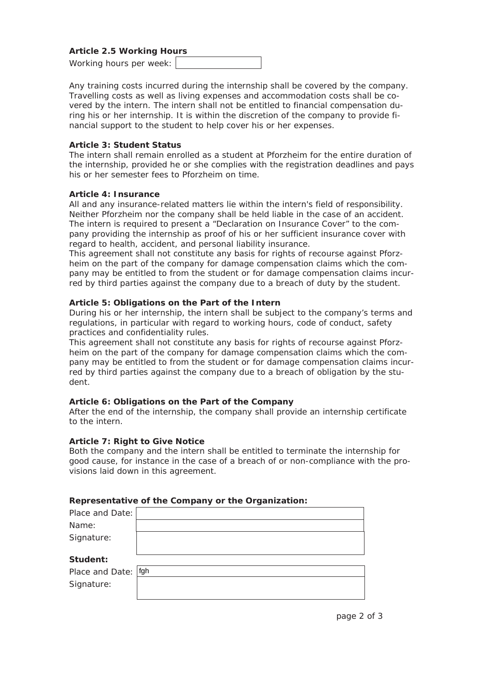### **Article 2.5 Working Hours**

Working hours per week:

Any training costs incurred during the internship shall be covered by the company. Travelling costs as well as living expenses and accommodation costs shall be covered by the intern. The intern shall not be entitled to financial compensation during his or her internship. It is within the discretion of the company to provide financial support to the student to help cover his or her expenses.

#### **Article 3: Student Status**

The intern shall remain enrolled as a student at Pforzheim for the entire duration of the internship, provided he or she complies with the registration deadlines and pays his or her semester fees to Pforzheim on time.

#### **Article 4: Insurance**

All and any insurance-related matters lie within the intern's field of responsibility. Neither Pforzheim nor the company shall be held liable in the case of an accident. The intern is required to present a "Declaration on Insurance Cover" to the company providing the internship as proof of his or her sufficient insurance cover with regard to health, accident, and personal liability insurance.

This agreement shall not constitute any basis for rights of recourse against Pforzheim on the part of the company for damage compensation claims which the company may be entitled to from the student or for damage compensation claims incurred by third parties against the company due to a breach of duty by the student.

#### **Article 5: Obligations on the Part of the Intern**

During his or her internship, the intern shall be subject to the company's terms and regulations, in particular with regard to working hours, code of conduct, safety practices and confidentiality rules.

This agreement shall not constitute any basis for rights of recourse against Pforzheim on the part of the company for damage compensation claims which the company may be entitled to from the student or for damage compensation claims incurred by third parties against the company due to a breach of obligation by the student.

#### **Article 6: Obligations on the Part of the Company**

After the end of the internship, the company shall provide an internship certificate to the intern.

#### **Article 7: Right to Give Notice**

Both the company and the intern shall be entitled to terminate the internship for good cause, for instance in the case of a breach of or non-compliance with the provisions laid down in this agreement.

#### **Representative of the Company or the Organization:**

| Place and Date: |     |
|-----------------|-----|
| Name:           |     |
| Signature:      |     |
|                 |     |
| Student:        |     |
|                 |     |
| Place and Date: | fgh |
| Signature:      |     |